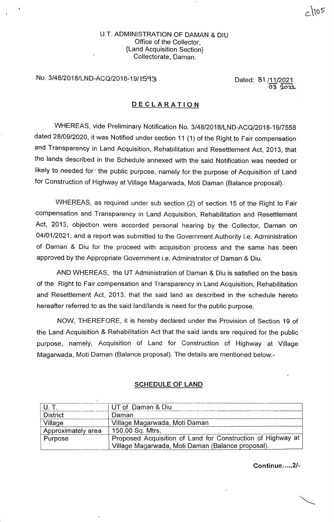### U.T. ADMINISTRATION OF DAMAN & DIU Office of the Collector, {Land Acquisition Section} Collectorate, Daman.

# No. 3/48/2018/LND-ACQ/2018-19/ 1593 Dated: 81/11/2021

03 2022

### **DECLARATION**

WHEREAS, vide Preliminary Notification No. 3/48/2018/LND-ACQ/2018-19/7558 dated 28/09/2020, it was Notified under section 11 (1) of the Right to Fair compensation and Transparency in Land Acquisition, Rehabilitation and Resettlement Act, 2013, that the lands described in the Schedule annexed with the said Notification was needed or likely to needed for·· the public purpose, namely for the purpose of Acquisition of Land for Construction of Highway at Village Magarwada, Moti Daman (Balance proposal).

WHEREAS, as required under sub section (2) of section 15 of the Right to Fair compensation and Transparency in Land Acquisition, Rehabilitation and Resettlement Act, 2013, objection were accorded personal hearing by the Collector, Daman on 04/01/2021, and a report was submitted to the Government Authority i.e. Administration of Daman & Diu for the proceed with acquisition process and the same has been approved by the Appropriate Government i.e. Administrator of Daman & Diu.

AND WHEREAS, the UT Administration of Daman & Diu is satisfied on the basis of the Right to Fair.compensation and Transparency in Land Acquisition, Rehabilitation and Resettlement Act, 2013, that the said land as described in the schedule hereto hereafter referred to as the said land/lands is need for the public purpose.

NOW, THEREFORE, it is hereby declared under the Provision of Section 19 of the Land Acquisition & Rehabilitation Act that the said lands are required for the public purpose, namely, Acquisition of Land for Construction of Highway at Village Magarwada, Moti Daman (Balance proposal). The details are mentioned below:-

|                    | UT of Daman & Diu                                           |
|--------------------|-------------------------------------------------------------|
| <b>District</b>    | Daman                                                       |
| Village            | Village Magarwada, Moti Daman                               |
| Approximately area | 150.00 Sq. Mtrs.                                            |
| Purpose            | Proposed Acquisition of Land for Construction of Highway at |
|                    | Village Magarwada, Moti Daman (Balance proposal).           |

#### **SCHEDULE OF LAND**

**Continue ..... 2/-**